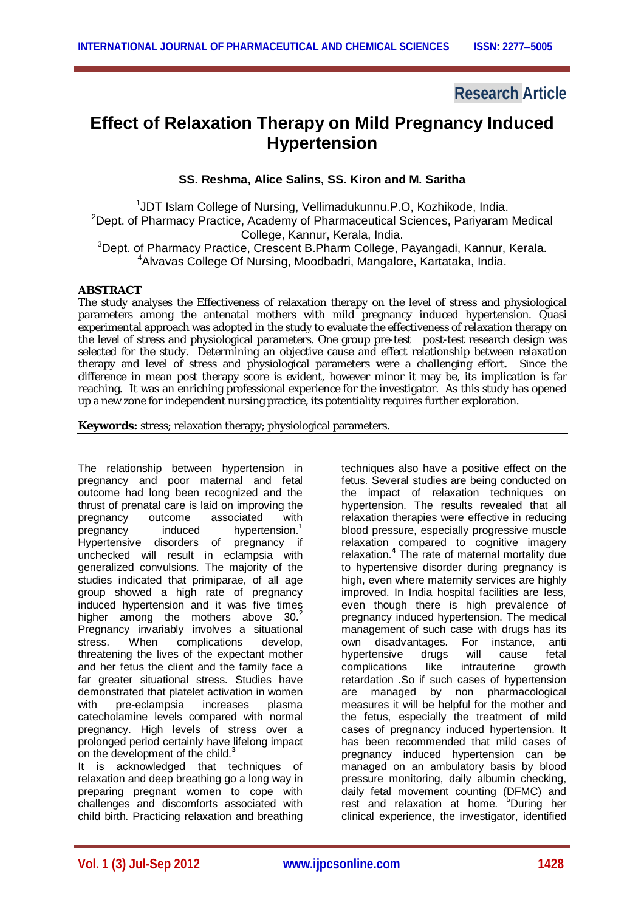# **Research Article**

# **Effect of Relaxation Therapy on Mild Pregnancy Induced Hypertension**

## **SS. Reshma, Alice Salins, SS. Kiron and M. Saritha**

<sup>1</sup>JDT Islam College of Nursing, Vellimadukunnu.P.O, Kozhikode, India. <sup>2</sup>Dept. of Pharmacy Practice, Academy of Pharmaceutical Sciences, Pariyaram Medical College, Kannur, Kerala, India. <sup>3</sup>Dept. of Pharmacy Practice, Crescent B.Pharm College, Payangadi, Kannur, Kerala.

<sup>4</sup>Alvavas College Of Nursing, Moodbadri, Mangalore, Kartataka, India.

## **ABSTRACT**

The study analyses the Effectiveness of relaxation therapy on the level of stress and physiological parameters among the antenatal mothers with mild pregnancy induced hypertension. Quasi experimental approach was adopted in the study to evaluate the effectiveness of relaxation therapy on the level of stress and physiological parameters. One group pre-test post-test research design was selected for the study. Determining an objective cause and effect relationship between relaxation therapy and level of stress and physiological parameters were a challenging effort. Since the difference in mean post therapy score is evident, however minor it may be, its implication is far reaching. It was an enriching professional experience for the investigator. As this study has opened up a new zone for independent nursing practice, its potentiality requires further exploration.

**Keywords:** stress; relaxation therapy; physiological parameters.

The relationship between hypertension in pregnancy and poor maternal and fetal outcome had long been recognized and the thrust of prenatal care is laid on improving the<br>pregnancy outcome associated with pregnancy outcome associated with<br>pregnancy induced hypertension.<sup>1</sup> pregnancy induced hypertension.<sup>1</sup> Hypertensive disorders of pregnancy if unchecked will result in eclampsia with generalized convulsions. The majority of the studies indicated that primiparae, of all age group showed a high rate of pregnancy induced hypertension and it was five times higher among the mothers above  $30<sup>2</sup>$ Pregnancy invariably involves a situational stress. When complications develop, threatening the lives of the expectant mother and her fetus the client and the family face a far greater situational stress. Studies have demonstrated that platelet activation in women with pre-eclampsia increases plasma catecholamine levels compared with normal pregnancy. High levels of stress over a prolonged period certainly have lifelong impact on the development of the child.**<sup>3</sup>**

It is acknowledged that techniques of relaxation and deep breathing go a long way in preparing pregnant women to cope with challenges and discomforts associated with child birth. Practicing relaxation and breathing techniques also have a positive effect on the fetus. Several studies are being conducted on the impact of relaxation techniques on hypertension. The results revealed that all relaxation therapies were effective in reducing blood pressure, especially progressive muscle relaxation compared to cognitive imagery relaxation. **4** The rate of maternal mortality due to hypertensive disorder during pregnancy is high, even where maternity services are highly improved. In India hospital facilities are less, even though there is high prevalence of pregnancy induced hypertension. The medical management of such case with drugs has its own disadvantages. For instance, anti<br>hypertensive drugs will cause fetal hypertensive drugs will cause complications like intrauterine growth retardation .So if such cases of hypertension are managed by non pharmacological measures it will be helpful for the mother and the fetus, especially the treatment of mild cases of pregnancy induced hypertension. It has been recommended that mild cases of pregnancy induced hypertension can be managed on an ambulatory basis by blood pressure monitoring, daily albumin checking, daily fetal movement counting (DFMC) and rest and relaxation at home. <sup>5</sup>During her clinical experience, the investigator, identified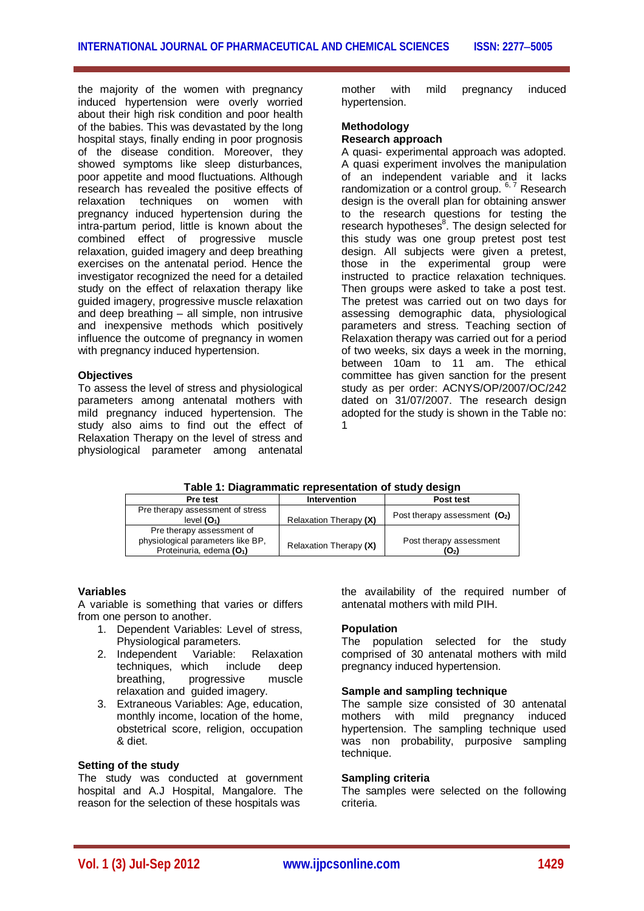the majority of the women with pregnancy induced hypertension were overly worried about their high risk condition and poor health of the babies. This was devastated by the long hospital stays, finally ending in poor prognosis of the disease condition. Moreover, they showed symptoms like sleep disturbances. poor appetite and mood fluctuations. Although research has revealed the positive effects of<br>relaxation techniques on women with relaxation techniques on women pregnancy induced hypertension during the intra-partum period, little is known about the combined effect of progressive muscle relaxation, guided imagery and deep breathing exercises on the antenatal period. Hence the investigator recognized the need for a detailed study on the effect of relaxation therapy like guided imagery, progressive muscle relaxation and deep breathing – all simple, non intrusive and inexpensive methods which positively influence the outcome of pregnancy in women with pregnancy induced hypertension.

## **Objectives**

To assess the level of stress and physiological parameters among antenatal mothers with mild pregnancy induced hypertension. The study also aims to find out the effect of Relaxation Therapy on the level of stress and physiological parameter among antenatal

mother with mild pregnancy induced hypertension.

# **Methodology**

## **Research approach**

A quasi- experimental approach was adopted. A quasi experiment involves the manipulation of an independent variable and it lacks randomization or a control group. <sup>6, 7</sup> Research design is the overall plan for obtaining answer to the research questions for testing the research hypotheses<sup>8</sup>. The design selected for this study was one group pretest post test design. All subjects were given a pretest, those in the experimental group were instructed to practice relaxation techniques. Then groups were asked to take a post test. The pretest was carried out on two days for assessing demographic data, physiological parameters and stress. Teaching section of Relaxation therapy was carried out for a period of two weeks, six days a week in the morning, between 10am to 11 am. The ethical committee has given sanction for the present study as per order: ACNYS/OP/2007/OC/242 dated on 31/07/2007. The research design adopted for the study is shown in the Table no: 1

**Table 1: Diagrammatic representation of study design**

| Pre test                                                                                               | <b>Intervention</b>    | Post test                       |
|--------------------------------------------------------------------------------------------------------|------------------------|---------------------------------|
| Pre therapy assessment of stress<br>level $(O_1)$                                                      | Relaxation Therapy (X) | Post therapy assessment $(O_2)$ |
| Pre therapy assessment of<br>physiological parameters like BP,<br>Proteinuria, edema (O <sub>1</sub> ) | Relaxation Therapy (X) | Post therapy assessment<br>(O2) |

### **Variables**

A variable is something that varies or differs from one person to another.

- 1. Dependent Variables: Level of stress, Physiological parameters.
- 2. Independent Variable: Relaxation techniques, which include deep breathing, progressive muscle relaxation and guided imagery.
- 3. Extraneous Variables: Age, education, monthly income, location of the home, obstetrical score, religion, occupation & diet.

## **Setting of the study**

The study was conducted at government hospital and A.J Hospital, Mangalore. The reason for the selection of these hospitals was

the availability of the required number of antenatal mothers with mild PIH.

## **Population**

The population selected for the study comprised of 30 antenatal mothers with mild pregnancy induced hypertension.

## **Sample and sampling technique**

The sample size consisted of 30 antenatal mothers with mild pregnancy induced hypertension. The sampling technique used was non probability, purposive sampling technique.

## **Sampling criteria**

The samples were selected on the following criteria.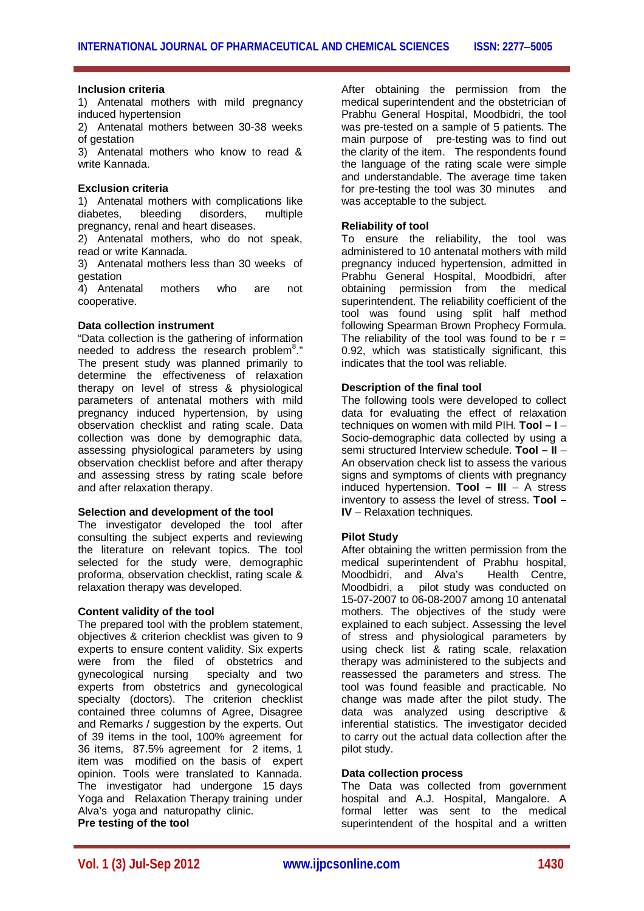### **Inclusion criteria**

1) Antenatal mothers with mild pregnancy induced hypertension

2) Antenatal mothers between 30-38 weeks of gestation

3) Antenatal mothers who know to read & write Kannada.

#### **Exclusion criteria**

1) Antenatal mothers with complications like diabetes, bleeding disorders, multiple pregnancy, renal and heart diseases.

2) Antenatal mothers, who do not speak, read or write Kannada.

3) Antenatal mothers less than 30 weeks of gestation

4) Antenatal mothers who are not cooperative.

## **Data collection instrument**

"Data collection is the gathering of information needed to address the research problem<sup>8</sup>." The present study was planned primarily to determine the effectiveness of relaxation therapy on level of stress & physiological parameters of antenatal mothers with mild pregnancy induced hypertension, by using observation checklist and rating scale. Data collection was done by demographic data, assessing physiological parameters by using observation checklist before and after therapy and assessing stress by rating scale before and after relaxation therapy.

#### **Selection and development of the tool**

The investigator developed the tool after consulting the subject experts and reviewing the literature on relevant topics. The tool selected for the study were, demographic proforma, observation checklist, rating scale & relaxation therapy was developed.

#### **Content validity of the tool**

The prepared tool with the problem statement. objectives & criterion checklist was given to 9 experts to ensure content validity. Six experts were from the filed of obstetrics and gynecological nursing specialty and two experts from obstetrics and gynecological specialty (doctors). The criterion checklist contained three columns of Agree, Disagree and Remarks / suggestion by the experts. Out of 39 items in the tool, 100% agreement for 36 items, 87.5% agreement for 2 items, 1 item was modified on the basis of expert opinion. Tools were translated to Kannada. The investigator had undergone 15 days Yoga and Relaxation Therapy training under Alva's yoga and naturopathy clinic. **Pre testing of the tool**

After obtaining the permission from the medical superintendent and the obstetrician of Prabhu General Hospital, Moodbidri, the tool was pre-tested on a sample of 5 patients. The main purpose of pre-testing was to find out the clarity of the item. The respondents found the language of the rating scale were simple and understandable. The average time taken for pre-testing the tool was 30 minutes and was acceptable to the subject.

#### **Reliability of tool**

To ensure the reliability, the tool was administered to 10 antenatal mothers with mild pregnancy induced hypertension, admitted in Prabhu General Hospital, Moodbidri, after obtaining permission from the medical superintendent. The reliability coefficient of the tool was found using split half method following Spearman Brown Prophecy Formula. The reliability of the tool was found to be  $r =$ 0.92, which was statistically significant, this indicates that the tool was reliable.

## **Description of the final tool**

The following tools were developed to collect data for evaluating the effect of relaxation techniques on women with mild PIH. **Tool – I** – Socio-demographic data collected by using a semi structured Interview schedule. **Tool – II** – An observation check list to assess the various signs and symptoms of clients with pregnancy induced hypertension. **Tool – III** – A stress inventory to assess the level of stress. **Tool – IV** – Relaxation techniques.

### **Pilot Study**

After obtaining the written permission from the medical superintendent of Prabhu hospital, Moodbidri, and Alva's Health Centre, Moodbidri, a pilot study was conducted on 15-07-2007 to 06-08-2007 among 10 antenatal mothers. The objectives of the study were explained to each subject. Assessing the level of stress and physiological parameters by using check list & rating scale, relaxation therapy was administered to the subjects and reassessed the parameters and stress. The tool was found feasible and practicable. No change was made after the pilot study. The data was analyzed using descriptive & inferential statistics. The investigator decided to carry out the actual data collection after the pilot study.

#### **Data collection process**

The Data was collected from government hospital and A.J. Hospital, Mangalore. A formal letter was sent to the medical superintendent of the hospital and a written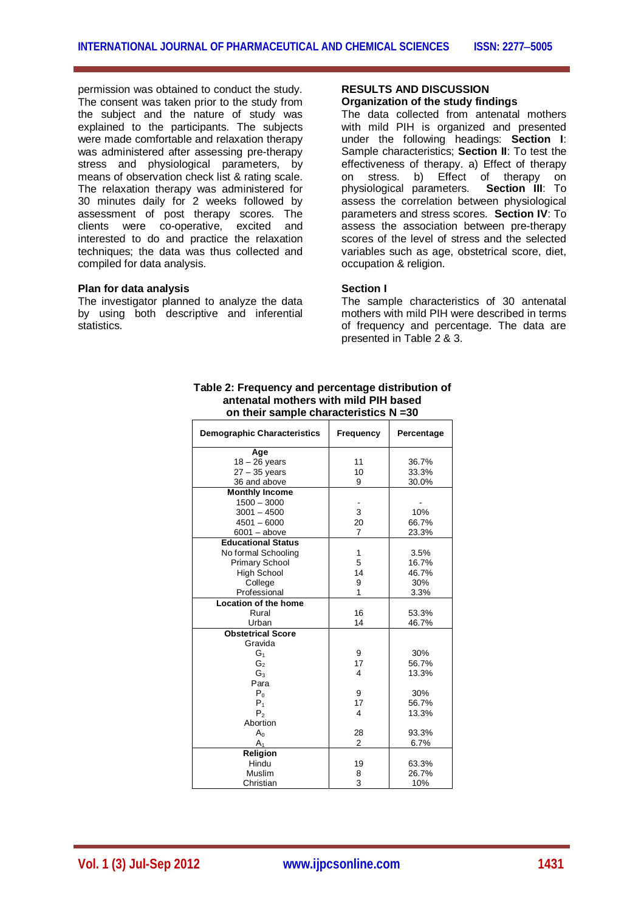permission was obtained to conduct the study. The consent was taken prior to the study from the subject and the nature of study was explained to the participants. The subjects were made comfortable and relaxation therapy was administered after assessing pre-therapy stress and physiological parameters, by means of observation check list & rating scale. The relaxation therapy was administered for 30 minutes daily for 2 weeks followed by assessment of post therapy scores. The clients were co-operative, excited and interested to do and practice the relaxation techniques; the data was thus collected and compiled for data analysis.

#### **Plan for data analysis**

The investigator planned to analyze the data by using both descriptive and inferential statistics.

#### **RESULTS AND DISCUSSION Organization of the study findings**

The data collected from antenatal mothers with mild PIH is organized and presented under the following headings: **Section I**: Sample characteristics; **Section II**: To test the effectiveness of therapy. a) Effect of therapy on stress. b) Effect of therapy on physiological parameters. **Section III**: To assess the correlation between physiological parameters and stress scores. **Section IV**: To assess the association between pre-therapy scores of the level of stress and the selected variables such as age, obstetrical score, diet, occupation & religion.

## **Section I**

The sample characteristics of 30 antenatal mothers with mild PIH were described in terms of frequency and percentage. The data are presented in Table 2 & 3.

| Table 2: Frequency and percentage distribution of |  |  |  |  |  |  |
|---------------------------------------------------|--|--|--|--|--|--|
| antenatal mothers with mild PIH based             |  |  |  |  |  |  |
| on their sample characteristics $N = 30$          |  |  |  |  |  |  |
|                                                   |  |  |  |  |  |  |

| <b>Demographic Characteristics</b> | Frequency      | Percentage |
|------------------------------------|----------------|------------|
| Age                                |                |            |
| $18 - 26$ years                    | 11             | 36.7%      |
| $27 - 35$ years                    | 10             | 33.3%      |
| 36 and above                       | 9              | 30.0%      |
| <b>Monthly Income</b>              |                |            |
| $1500 - 3000$                      |                |            |
| $3001 - 4500$                      | 3              | 10%        |
| $4501 - 6000$                      | 20             | 66.7%      |
| $6001 - above$                     | $\overline{7}$ | 23.3%      |
| <b>Educational Status</b>          |                |            |
| No formal Schooling                | 1              | 3.5%       |
| <b>Primary School</b>              | 5              | 16.7%      |
| <b>High School</b>                 | 14             | 46.7%      |
| College                            | 9              | 30%        |
| Professional                       | 1              | 3.3%       |
| <b>Location of the home</b>        |                |            |
| Rural                              | 16             | 53.3%      |
| Urban                              | 14             | 46.7%      |
| <b>Obstetrical Score</b>           |                |            |
| Gravida                            |                |            |
| G1                                 | 9              | 30%        |
| G <sub>2</sub>                     | 17             | 56.7%      |
| $G_3$                              | 4              | 13.3%      |
| Para                               |                |            |
| $P_0$                              | 9              | 30%        |
| P <sub>1</sub>                     | 17             | 56.7%      |
| P <sub>2</sub>                     | 4              | 13.3%      |
| Abortion                           |                |            |
| A <sub>0</sub>                     | 28             | 93.3%      |
| A <sub>1</sub>                     | $\overline{2}$ | 6.7%       |
| Religion                           |                |            |
| Hindu                              | 19             | 63.3%      |
| Muslim                             | 8              | 26.7%      |
| Christian                          | 3              | 10%        |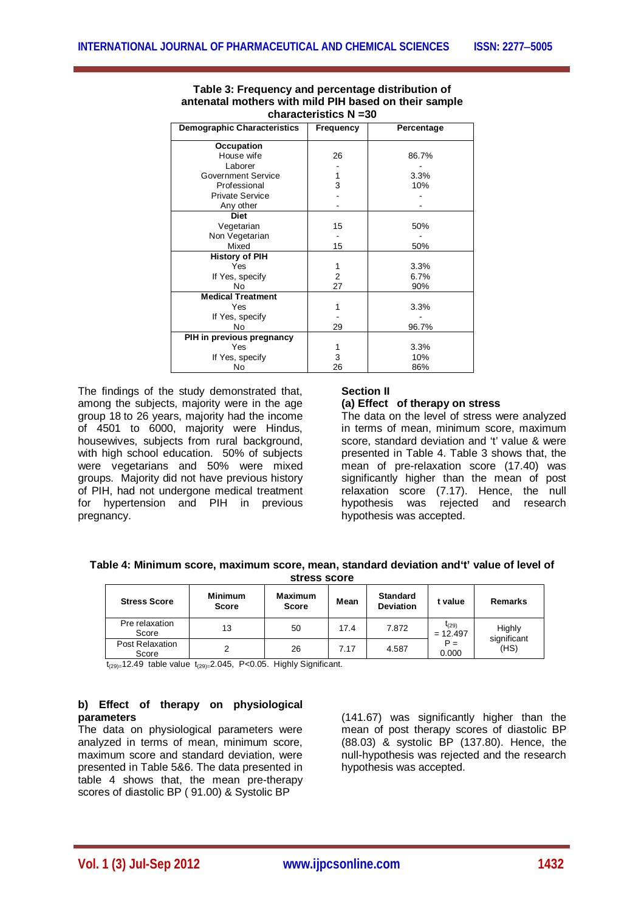| <b>Demographic Characteristics</b> | <b>Frequency</b> | Percentage |
|------------------------------------|------------------|------------|
| Occupation                         |                  |            |
| House wife                         | 26               | 86.7%      |
| Laborer                            |                  |            |
| <b>Government Service</b>          | 1                | 3.3%       |
| Professional                       | 3                | 10%        |
| <b>Private Service</b>             |                  |            |
| Any other                          |                  |            |
| <b>Diet</b>                        |                  |            |
| Vegetarian                         | 15               | 50%        |
| Non Vegetarian                     |                  |            |
| Mixed                              | 15               | 50%        |
| <b>History of PIH</b>              |                  |            |
| Yes                                |                  | 3.3%       |
| If Yes, specify                    | 2                | 6.7%       |
| N <sub>0</sub>                     | 27               | 90%        |
| <b>Medical Treatment</b>           |                  |            |
| Yes                                |                  | 3.3%       |
| If Yes, specify                    |                  |            |
| No                                 | 29               | 96.7%      |
| PIH in previous pregnancy          |                  |            |
| Yes                                |                  | 3.3%       |
| If Yes, specify                    | 3                | 10%        |
| No                                 | 26               | 86%        |

### **Table 3: Frequency and percentage distribution of antenatal mothers with mild PIH based on their sample characteristics N =30**

The findings of the study demonstrated that, among the subjects, majority were in the age group 18 to 26 years, majority had the income of 4501 to 6000, majority were Hindus, housewives, subjects from rural background, with high school education. 50% of subjects were vegetarians and 50% were mixed groups. Majority did not have previous history of PIH, had not undergone medical treatment for hypertension and PIH in previous pregnancy.

## **Section II**

### **(a) Effect of therapy on stress**

The data on the level of stress were analyzed in terms of mean, minimum score, maximum score, standard deviation and 't' value & were presented in Table 4. Table 3 shows that, the mean of pre-relaxation score (17.40) was significantly higher than the mean of post relaxation score (7.17). Hence, the null hypothesis was rejected and research hypothesis was accepted.

| Table 4: Minimum score, maximum score, mean, standard deviation and t' value of level of |              |  |  |
|------------------------------------------------------------------------------------------|--------------|--|--|
|                                                                                          | stress score |  |  |

| <b>Stress Score</b>      | Minimum<br><b>Score</b> | Maximum<br><b>Score</b> | Mean | <b>Standard</b><br><b>Deviation</b> | t value                  | Remarks             |
|--------------------------|-------------------------|-------------------------|------|-------------------------------------|--------------------------|---------------------|
| Pre relaxation<br>Score  | 13                      | 50                      | 17.4 | 7.872                               | $t_{(29)}$<br>$= 12.497$ | Highly              |
| Post Relaxation<br>Score |                         | 26                      | 7.17 | 4.587                               | $P =$<br>0.000           | significant<br>(HS) |

 $t_{(29)=}12.49$  table value  $t_{(29)=}2.045$ , P<0.05. Highly Significant.

## **b) Effect of therapy on physiological parameters**

The data on physiological parameters were analyzed in terms of mean, minimum score, maximum score and standard deviation, were presented in Table 5&6. The data presented in table 4 shows that, the mean pre-therapy scores of diastolic BP ( 91.00) & Systolic BP

(141.67) was significantly higher than the mean of post therapy scores of diastolic BP (88.03) & systolic BP (137.80). Hence, the null-hypothesis was rejected and the research hypothesis was accepted.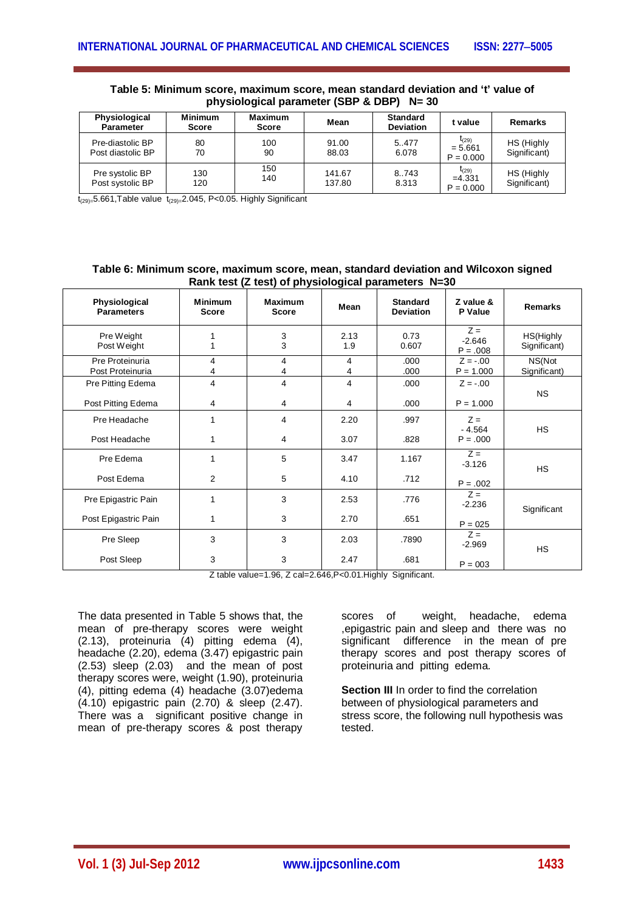| <b>Physiological</b><br><b>Parameter</b> | <b>Minimum</b><br><b>Score</b> | Maximum<br><b>Score</b> | Mean             | <b>Standard</b><br><b>Deviation</b> | t value                                | Remarks                    |
|------------------------------------------|--------------------------------|-------------------------|------------------|-------------------------------------|----------------------------------------|----------------------------|
| Pre-diastolic BP<br>Post diastolic BP    | 80<br>70                       | 100<br>90               | 91.00<br>88.03   | 5.477<br>6.078                      | $t_{(29)}$<br>$= 5.661$<br>$P = 0.000$ | HS (Highly<br>Significant) |
| Pre systolic BP<br>Post systolic BP      | 130<br>120                     | 150<br>140              | 141.67<br>137.80 | 8.743<br>8.313                      | $t_{(29)}$<br>$=4.331$<br>$P = 0.000$  | HS (Highly<br>Significant) |

## **Table 5: Minimum score, maximum score, mean standard deviation and 't' value of physiological parameter (SBP & DBP) N= 30**

 $t_{(29)=}$ 5.661,Table value  $t_{(29)=}$ 2.045, P<0.05. Highly Significant

#### **Table 6: Minimum score, maximum score, mean, standard deviation and Wilcoxon signed Rank test (Z test) of physiological parameters N=30**

| Physiological<br><b>Parameters</b>      | <b>Minimum</b><br><b>Score</b> | <b>Maximum</b><br><b>Score</b> | Mean         | <b>Standard</b><br>Deviation | Z value &<br>P Value            | <b>Remarks</b>            |
|-----------------------------------------|--------------------------------|--------------------------------|--------------|------------------------------|---------------------------------|---------------------------|
| Pre Weight<br>Post Weight               |                                | 3<br>3                         | 2.13<br>1.9  | 0.73<br>0.607                | $Z =$<br>$-2.646$<br>$P = .008$ | HS(Highly<br>Significant) |
| Pre Proteinuria<br>Post Proteinuria     | 4<br>4                         | 4<br>4                         | 4<br>4       | .000<br>.000                 | $Z = -.00$<br>$P = 1.000$       | NS(Not<br>Significant)    |
| Pre Pitting Edema<br>Post Pitting Edema | 4<br>4                         | 4<br>4                         | 4<br>4       | .000<br>.000                 | $Z = -.00$<br>$P = 1.000$       | <b>NS</b>                 |
| Pre Headache<br>Post Headache           | 1<br>1                         | 4<br>4                         | 2.20<br>3.07 | .997<br>.828                 | $7 =$<br>$-4.564$<br>$P = .000$ | <b>HS</b>                 |
| Pre Edema<br>Post Edema                 | 1<br>$\overline{2}$            | 5<br>5                         | 3.47<br>4.10 | 1.167<br>.712                | $Z =$<br>$-3.126$               | <b>HS</b>                 |
| Pre Epigastric Pain                     | 1                              | 3                              | 2.53         | .776                         | $P = .002$<br>$Z =$<br>$-2.236$ | Significant               |
| Post Epigastric Pain                    | 1                              | 3                              | 2.70         | .651                         | $P = 025$                       |                           |
| Pre Sleep                               | 3                              | 3                              | 2.03         | .7890                        | $Z =$<br>$-2.969$               | <b>HS</b>                 |
| Post Sleep                              | 3                              | 3                              | 2.47         | .681                         | $P = 003$                       |                           |

Z table value=1.96, Z cal=2.646,P<0.01.Highly Significant.

The data presented in Table 5 shows that, the mean of pre-therapy scores were weight (2.13), proteinuria (4) pitting edema (4), headache (2.20), edema (3.47) epigastric pain (2.53) sleep (2.03) and the mean of post therapy scores were, weight (1.90), proteinuria (4), pitting edema (4) headache (3.07)edema (4.10) epigastric pain (2.70) & sleep (2.47). There was a significant positive change in mean of pre-therapy scores & post therapy

scores of weight, headache, edema ,epigastric pain and sleep and there was no significant difference in the mean of pre therapy scores and post therapy scores of proteinuria and pitting edema.

**Section III** In order to find the correlation between of physiological parameters and stress score, the following null hypothesis was tested.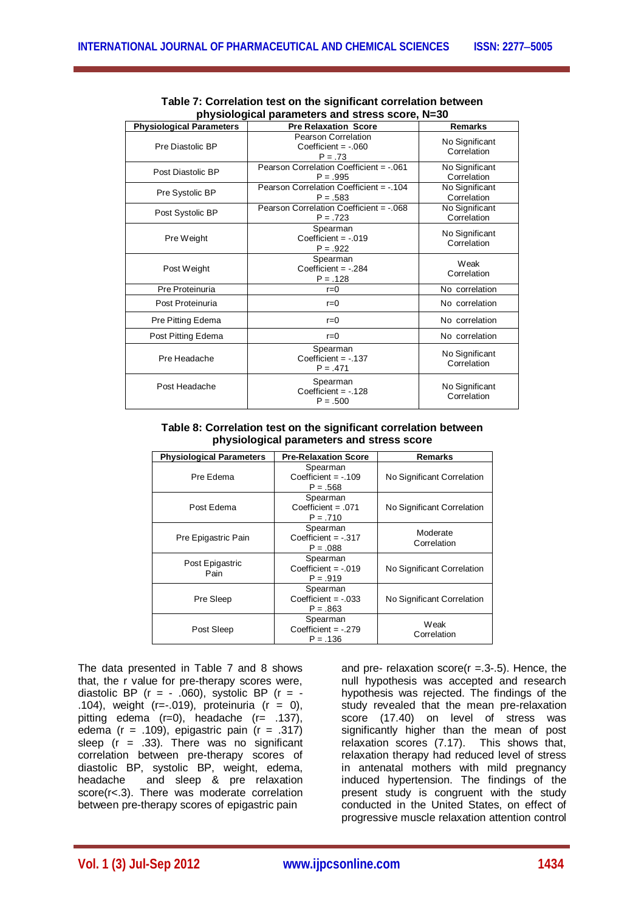| <b>Physiological Parameters</b> | <b>Pre Relaxation Score</b>                               | <b>Remarks</b>                |
|---------------------------------|-----------------------------------------------------------|-------------------------------|
| Pre Diastolic BP                | Pearson Correlation<br>Coefficient = $-.060$<br>$P = .73$ | No Significant<br>Correlation |
| Post Diastolic BP               | Pearson Correlation Coefficient = -.061<br>$P = .995$     | No Significant<br>Correlation |
| Pre Systolic BP                 | Pearson Correlation Coefficient = -.104<br>$P = .583$     | No Significant<br>Correlation |
| Post Systolic BP                | Pearson Correlation Coefficient = -.068<br>$P = 0.723$    | No Significant<br>Correlation |
| Pre Weight                      | Spearman<br>Coefficient $= -019$<br>$P = .922$            | No Significant<br>Correlation |
| Post Weight                     | Spearman<br>Coefficient $= -0.284$<br>$P = .128$          | Weak<br>Correlation           |
| Pre Proteinuria                 | $r=0$                                                     | No correlation                |
| Post Proteinuria                | $r=0$                                                     | No correlation                |
| Pre Pitting Edema               | $r = 0$                                                   | No correlation                |
| Post Pitting Edema              | $r=0$                                                     | No correlation                |
| Pre Headache                    | Spearman<br>Coefficient = $-.137$<br>$P = .471$           | No Significant<br>Correlation |
| Post Headache                   | Spearman<br>Coefficient = $-.128$<br>$P = .500$           | No Significant<br>Correlation |

| Table 7: Correlation test on the significant correlation between |
|------------------------------------------------------------------|
| physiological parameters and stress score, N=30                  |

### **Table 8: Correlation test on the significant correlation between physiological parameters and stress score**

| <b>Physiological Parameters</b> | <b>Pre-Relaxation Score</b>                     | Remarks                    |
|---------------------------------|-------------------------------------------------|----------------------------|
| Pre Edema                       | Spearman<br>Coefficient = $-109$<br>$P = .568$  | No Significant Correlation |
| Post Edema                      | Spearman<br>$Coefficient = .071$<br>$P = .710$  | No Significant Correlation |
| Pre Epigastric Pain             | Spearman<br>Coefficient $= -317$<br>$P = .088$  | Moderate<br>Correlation    |
| Post Epigastric<br>Pain         | Spearman<br>Coefficient $= -019$<br>$P = .919$  | No Significant Correlation |
| Pre Sleep                       | Spearman<br>$Coefficient = -033$<br>$P = .863$  | No Significant Correlation |
| Post Sleep                      | Spearman<br>Coefficient = $-.279$<br>$P = .136$ | Weak<br>Correlation        |

The data presented in Table 7 and 8 shows that, the r value for pre-therapy scores were, diastolic BP ( $r = -060$ ), systolic BP ( $r = -060$ ) .104), weight  $(r=-.019)$ , proteinuria  $(r = 0)$ , pitting edema (r=0), headache (r= .137), edema ( $r = .109$ ), epigastric pain ( $r = .317$ ) sleep  $(r = .33)$ . There was no significant correlation between pre-therapy scores of diastolic BP, systolic BP, weight, edema,<br>headache and sleep & pre relaxation and sleep & pre relaxation score(r<.3). There was moderate correlation between pre-therapy scores of epigastric pain

and pre- relaxation score( $r = 0.3$ -.5). Hence, the null hypothesis was accepted and research hypothesis was rejected. The findings of the study revealed that the mean pre-relaxation score (17.40) on level of stress was significantly higher than the mean of post relaxation scores (7.17). This shows that, relaxation therapy had reduced level of stress in antenatal mothers with mild pregnancy induced hypertension. The findings of the present study is congruent with the study conducted in the United States, on effect of progressive muscle relaxation attention control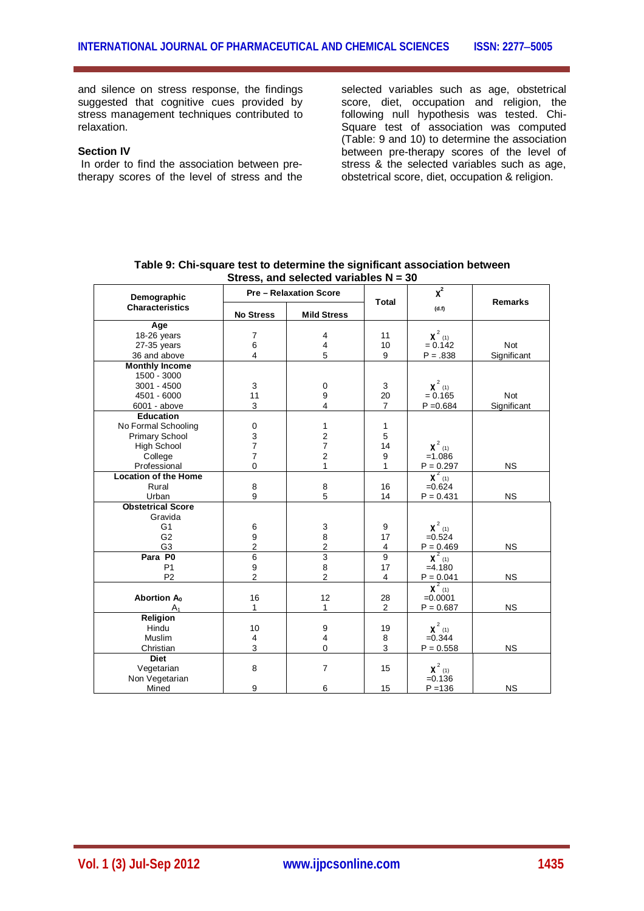and silence on stress response, the findings suggested that cognitive cues provided by stress management techniques contributed to relaxation.

### **Section IV**

In order to find the association between pretherapy scores of the level of stress and the selected variables such as age, obstetrical score, diet, occupation and religion, the following null hypothesis was tested. Chi-Square test of association was computed (Table: 9 and 10) to determine the association between pre-therapy scores of the level of stress & the selected variables such as age, obstetrical score, diet, occupation & religion.

| Demographic                      | <b>Pre-Relaxation Score</b> |                         | Total                | $\chi^2$                 | <b>Remarks</b> |  |
|----------------------------------|-----------------------------|-------------------------|----------------------|--------------------------|----------------|--|
| <b>Characteristics</b>           | <b>No Stress</b>            | <b>Mild Stress</b>      |                      | (d.f)                    |                |  |
| Age                              |                             |                         |                      |                          |                |  |
| 18-26 years                      | $\overline{7}$              | 4                       | 11                   | $\chi^2$ (1)             |                |  |
| 27-35 years                      | 6                           | $\overline{4}$          | 10                   | $= 0.142$                | <b>Not</b>     |  |
| 36 and above                     | $\overline{4}$              | 5                       | 9                    | $P = .838$               | Significant    |  |
| <b>Monthly Income</b>            |                             |                         |                      |                          |                |  |
| 1500 - 3000                      |                             |                         |                      |                          |                |  |
| $3001 - 4500$                    | 3                           | 0                       | 3                    | $\chi^2$ (1)             |                |  |
| 4501 - 6000                      | 11                          | 9                       | 20                   | $= 0.165$                | <b>Not</b>     |  |
| 6001 - above                     | 3                           | 4                       | $\overline{7}$       | $P = 0.684$              | Significant    |  |
| <b>Education</b>                 |                             |                         |                      |                          |                |  |
| No Formal Schooling              | $\mathbf 0$                 | 1                       | $\mathbf{1}$         |                          |                |  |
| Primary School                   | 3                           | $\overline{\mathbf{c}}$ | 5                    |                          |                |  |
| <b>High School</b>               | $\overline{7}$              | $\overline{7}$          | 14                   | $\chi^2$ (1)             |                |  |
| College                          | $\overline{7}$              | $\overline{2}$          | 9                    | $=1.086$                 |                |  |
| Professional                     | $\overline{0}$              | 1                       | 1                    | $P = 0.297$              | <b>NS</b>      |  |
| <b>Location of the Home</b>      |                             |                         |                      | $\chi^2$ (1)             |                |  |
| Rural                            | 8                           | 8                       | 16                   | $=0.624$                 |                |  |
| Urban                            | 9                           | 5                       | 14                   | $P = 0.431$              | <b>NS</b>      |  |
| <b>Obstetrical Score</b>         |                             |                         |                      |                          |                |  |
| Gravida                          |                             |                         |                      |                          |                |  |
| G <sub>1</sub>                   | 6                           | 3                       | 9                    | $\chi^2$ (1)             |                |  |
| G <sub>2</sub>                   | 9                           | 8                       | 17                   | $=0.524$                 |                |  |
| G <sub>3</sub>                   | $\overline{2}$              | $\overline{2}$          | 4                    | $P = 0.469$              | <b>NS</b>      |  |
| Para P0                          | $\overline{6}$              | 3                       | $\overline{9}$       | $\chi^2$ (1)             |                |  |
| P <sub>1</sub>                   | 9<br>$\overline{2}$         | 8<br>$\overline{2}$     | 17                   | $=4.180$                 |                |  |
| P <sub>2</sub>                   |                             |                         | $\overline{4}$       | $P = 0.041$              | <b>NS</b>      |  |
|                                  |                             | 12                      |                      | $\chi^2$ (1)             |                |  |
| Abortion $A_0$<br>A <sub>1</sub> | 16<br>$\mathbf{1}$          | 1                       | 28<br>$\overline{2}$ | $=0.0001$<br>$P = 0.687$ | <b>NS</b>      |  |
|                                  |                             |                         |                      |                          |                |  |
| Religion<br>Hindu                | 10                          | 9                       | 19                   | $\chi^2$ (1)             |                |  |
| Muslim                           | 4                           | 4                       | 8                    | $=0.344$                 |                |  |
| Christian                        | 3                           | $\overline{0}$          | 3                    | $P = 0.558$              | <b>NS</b>      |  |
| <b>Diet</b>                      |                             |                         |                      |                          |                |  |
| Vegetarian                       | 8                           | $\overline{7}$          | 15                   | $\chi^2$ (1)             |                |  |
| Non Vegetarian                   |                             |                         |                      | $=0.136$                 |                |  |
| Mined                            | 9                           | 6                       | 15                   | $P = 136$                | <b>NS</b>      |  |

| Table 9: Chi-square test to determine the significant association between |  |
|---------------------------------------------------------------------------|--|
| Stress, and selected variables $N = 30$                                   |  |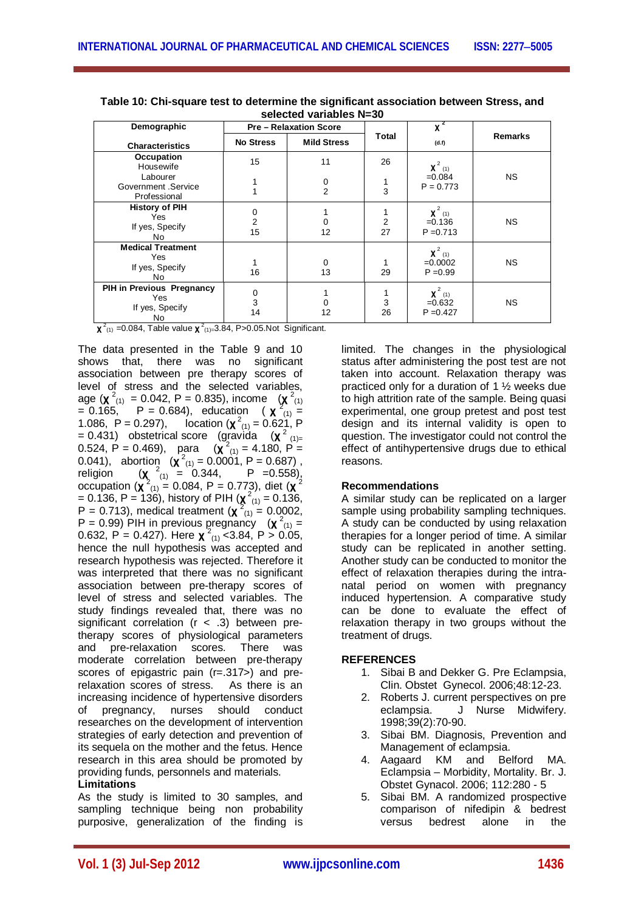| Demographic                                               | <b>Pre-Relaxation Score</b> |                     |         | $x^2$                                   |                |  |  |
|-----------------------------------------------------------|-----------------------------|---------------------|---------|-----------------------------------------|----------------|--|--|
| <b>Characteristics</b>                                    | <b>No Stress</b>            | <b>Mild Stress</b>  | Total   | (d.f)                                   | <b>Remarks</b> |  |  |
| Occupation<br>Housewife                                   | 15                          | 11                  | 26      | $\chi^2$ (1)                            |                |  |  |
| Labourer<br>Government .Service<br>Professional           |                             | 0<br>$\overline{2}$ | 3       | $=0.084$<br>$P = 0.773$                 | <b>NS</b>      |  |  |
| <b>History of PIH</b><br>Yes<br>If yes, Specify<br>No     | 0<br>$\overline{2}$<br>15   | 0<br>12             | 2<br>27 | $\chi^2$ (1)<br>$=0.136$<br>$P = 0.713$ | NS.            |  |  |
| <b>Medical Treatment</b><br>Yes<br>If yes, Specify<br>No  | 16                          | 0<br>13             | 29      | $\chi^2$ (1)<br>$=0.0002$<br>$P = 0.99$ | NS.            |  |  |
| PIH in Previous Pregnancy<br>Yes<br>If yes, Specify<br>No | $\pmb{0}$<br>3<br>14        | 0<br>12             | 3<br>26 | $\chi^2$ (1)<br>$=0.632$<br>$P = 0.427$ | <b>NS</b>      |  |  |

**Table 10: Chi-square test to determine the significant association between Stress, and selected variables N=30**

 $\chi^2$ <sub>(1)</sub> =0.084, Table value  $\chi^2$ <sub>(1)=</sub>3.84, P>0.05.Not Significant.

The data presented in the Table 9 and 10 shows that, there was no significant association between pre therapy scores of level of stress and the selected variables, age (**χ**<sup>2</sup><sub>(1)</sub> = 0.042, P = 0.835), income (**χ**<sup>2</sup><sub>(1)</sub>)  $= 0.165$ , P = 0.684), education ( **x**<sup>2</sup><sub>(1)</sub> = 1.086, P = 0.297), location (**x**<sup>2</sup><sub>(1)</sub> = 0.621, P  $= 0.431$ ) obstetrical score (gravida (**x**<sup>2</sup><sub>(1)=</sub> 0.524, P = 0.469), para  $(\chi^2_{(1)} = 4.180, P =$ 0.041), abortion  $(\chi^2_{(1)} = 0.0001, P = 0.687)$ , religion (**χ**  $\frac{2}{2}$  (1) = 0.344, P = 0.558), occupation (**χ** (1) = 0.084, P = 0.773), diet (**χ**  $= 0.136$ , P  $= 136$ ), history of PIH ( $\chi^2$ <sub>(1)</sub>  $= 0.136$ , P = 0.713), medical treatment  $(\chi^2_{(1)} = 0.0002)$ ,  $P = 0.99$ ) PIH in previous pregnancy  $(\chi^2_{(1)} =$ 0.632, P = 0.427). Here  $\chi^2(1)$  < 3.84, P > 0.05, hence the null hypothesis was accepted and research hypothesis was rejected. Therefore it was interpreted that there was no significant association between pre-therapy scores of level of stress and selected variables. The study findings revealed that, there was no significant correlation  $(r < .3)$  between pretherapy scores of physiological parameters and pre-relaxation scores. There was moderate correlation between pre-therapy scores of epigastric pain (r=.317>) and prerelaxation scores of stress. As there is an increasing incidence of hypertensive disorders of pregnancy, nurses should conduct researches on the development of intervention strategies of early detection and prevention of its sequela on the mother and the fetus. Hence research in this area should be promoted by providing funds, personnels and materials.

**Limitations**

As the study is limited to 30 samples, and sampling technique being non probability purposive, generalization of the finding is limited. The changes in the physiological status after administering the post test are not taken into account. Relaxation therapy was practiced only for a duration of 1 ½ weeks due to high attrition rate of the sample. Being quasi experimental, one group pretest and post test design and its internal validity is open to question. The investigator could not control the effect of antihypertensive drugs due to ethical reasons.

## **Recommendations**

A similar study can be replicated on a larger sample using probability sampling techniques. A study can be conducted by using relaxation therapies for a longer period of time. A similar study can be replicated in another setting. Another study can be conducted to monitor the effect of relaxation therapies during the intranatal period on women with pregnancy induced hypertension. A comparative study can be done to evaluate the effect of relaxation therapy in two groups without the treatment of drugs.

## **REFERENCES**

- 1. Sibai B and Dekker G. Pre Eclampsia, Clin. Obstet Gynecol. 2006;48:12-23.
- 2. Roberts J. current perspectives on pre eclampsia. J Nurse Midwifery. 1998;39(2):70-90.
- 3. Sibai BM. Diagnosis, Prevention and Management of eclampsia.
- 4. Aagaard KM and Belford MA. Eclampsia – Morbidity, Mortality. Br. J. Obstet Gynacol. 2006; 112:280 - 5
- 5. Sibai BM. A randomized prospective comparison of nifedipin & bedrest versus bedrest alone in the